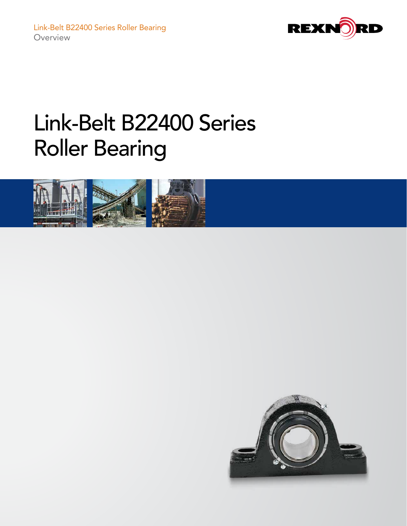



## Link-Belt B22400 Series Roller Bearing



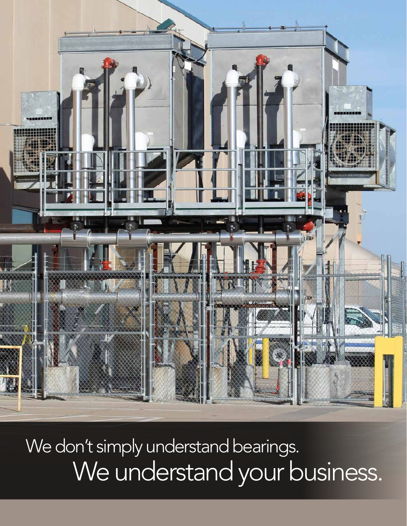

We don't simply understand bearings. We understand your business.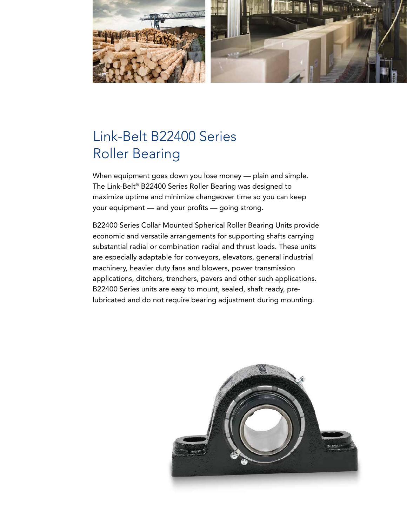

### Link-Belt B22400 Series Roller Bearing

When equipment goes down you lose money — plain and simple. The Link-Belt® B22400 Series Roller Bearing was designed to maximize uptime and minimize changeover time so you can keep your equipment — and your profits — going strong.

B22400 Series Collar Mounted Spherical Roller Bearing Units provide economic and versatile arrangements for supporting shafts carrying substantial radial or combination radial and thrust loads. These units are especially adaptable for conveyors, elevators, general industrial machinery, heavier duty fans and blowers, power transmission applications, ditchers, trenchers, pavers and other such applications. B22400 Series units are easy to mount, sealed, shaft ready, prelubricated and do not require bearing adjustment during mounting.

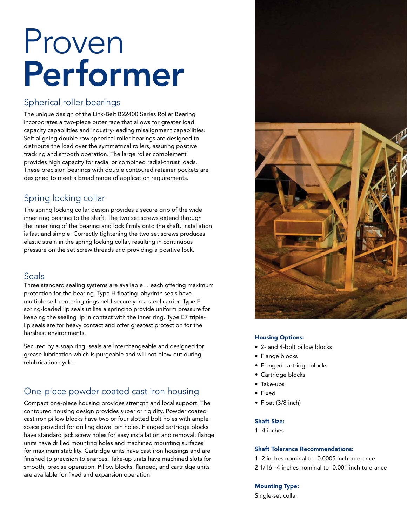# Proven Performer

#### Spherical roller bearings

The unique design of the Link-Belt B22400 Series Roller Bearing incorporates a two-piece outer race that allows for greater load capacity capabilities and industry-leading misalignment capabilities. Self-aligning double row spherical roller bearings are designed to distribute the load over the symmetrical rollers, assuring positive tracking and smooth operation. The large roller complement provides high capacity for radial or combined radial-thrust loads. These precision bearings with double contoured retainer pockets are designed to meet a broad range of application requirements.

#### Spring locking collar

The spring locking collar design provides a secure grip of the wide inner ring bearing to the shaft. The two set screws extend through the inner ring of the bearing and lock firmly onto the shaft. Installation is fast and simple. Correctly tightening the two set screws produces elastic strain in the spring locking collar, resulting in continuous pressure on the set screw threads and providing a positive lock.

#### Seals

Three standard sealing systems are available… each offering maximum protection for the bearing. Type H floating labyrinth seals have multiple self-centering rings held securely in a steel carrier. Type E spring-loaded lip seals utilize a spring to provide uniform pressure for keeping the sealing lip in contact with the inner ring. Type E7 triplelip seals are for heavy contact and offer greatest protection for the harshest environments.

Secured by a snap ring, seals are interchangeable and designed for grease lubrication which is purgeable and will not blow-out during relubrication cycle.

#### One-piece powder coated cast iron housing

Compact one-piece housing provides strength and local support. The contoured housing design provides superior rigidity. Powder coated cast iron pillow blocks have two or four slotted bolt holes with ample space provided for drilling dowel pin holes. Flanged cartridge blocks have standard jack screw holes for easy installation and removal; flange units have drilled mounting holes and machined mounting surfaces for maximum stability. Cartridge units have cast iron housings and are finished to precision tolerances. Take-up units have machined slots for smooth, precise operation. Pillow blocks, flanged, and cartridge units are available for fixed and expansion operation.



#### Housing Options:

- 2- and 4-bolt pillow blocks
- Flange blocks
- Flanged cartridge blocks
- Cartridge blocks
- Take-ups
- Fixed
- Float (3/8 inch)

#### Shaft Size:

1–4 inches

#### Shaft Tolerance Recommendations:

1–2 inches nominal to -0.0005 inch tolerance 2 1/16 – 4 inches nominal to -0.001 inch tolerance

#### Mounting Type:

Single-set collar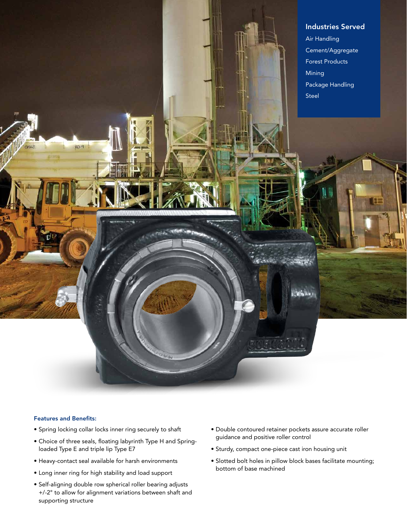

#### Features and Benefits:

- Spring locking collar locks inner ring securely to shaft
- Choice of three seals, floating labyrinth Type H and Springloaded Type E and triple lip Type E7
- Heavy-contact seal available for harsh environments
- Long inner ring for high stability and load support
- Self-aligning double row spherical roller bearing adjusts +/-2° to allow for alignment variations between shaft and supporting structure
- Double contoured retainer pockets assure accurate roller guidance and positive roller control
- Sturdy, compact one-piece cast iron housing unit
- Slotted bolt holes in pillow block bases facilitate mounting; bottom of base machined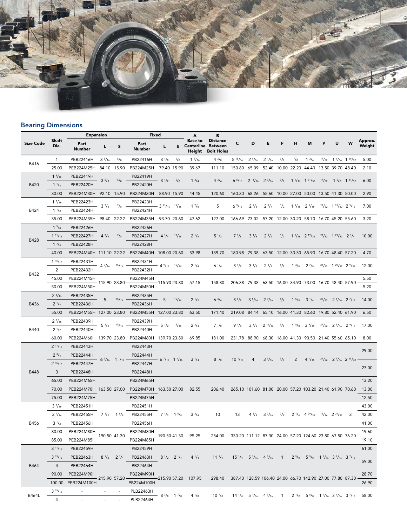

#### Bearing Dimensions

|                  |                  | <b>Expansion</b>        |                 |                                              | Fixed                  |                                              | A           | В                                             |                                                                   |                 |                                                                                                                                                                                                                                      |                                 |               |                               |                                                                                                    |   |                                           |                                        |                   |
|------------------|------------------|-------------------------|-----------------|----------------------------------------------|------------------------|----------------------------------------------|-------------|-----------------------------------------------|-------------------------------------------------------------------|-----------------|--------------------------------------------------------------------------------------------------------------------------------------------------------------------------------------------------------------------------------------|---------------------------------|---------------|-------------------------------|----------------------------------------------------------------------------------------------------|---|-------------------------------------------|----------------------------------------|-------------------|
| <b>Size Code</b> | Shaft<br>Dia.    | Part<br>Number          | L               | S                                            | Part<br>Number         | L                                            | s           | <b>Base to</b><br><b>Centerline</b><br>Height | <b>Distance</b><br><b>Between</b><br><b>Bolt Holes</b>            | C               | D                                                                                                                                                                                                                                    | Е                               | F             | н                             | м                                                                                                  | P | U                                         | W                                      | Approx.<br>Weight |
| B416             | $\mathbf{1}$     | PEB22416H               | $3\frac{5}{16}$ | $^{5}/_{8}$                                  | PB22416H               | $3^{1/8}$                                    | $^{5}/_{8}$ | $1\frac{9}{16}$                               | $4^{3}/_{8}$                                                      | $5^{15}/_{16}$  | $2\frac{9}{16}$                                                                                                                                                                                                                      | $2^{1/16}$                      | $^{3}/_{8}$   | $^{7}/_{8}$                   | $1^{3}/4$                                                                                          |   |                                           | $17/32$ 1 $9/16$ 1 $29/32$             | 5.00              |
|                  | 25.00            | PEB224M25H              |                 | 84.10 15.90                                  | PB224M25H              | 79.40 15.90                                  |             | 39.67                                         | 111.10                                                            | 150.80          | 65.09                                                                                                                                                                                                                                | 52.40                           | 10.00         | 22.20                         | 44.40                                                                                              |   |                                           | 13.50 39.70 48.40                      | 2.10              |
| B420             | $1 \frac{3}{16}$ | PEB22419H               | $3^{5}/s$       | $^{5}/_{8}$                                  | PB22419H               | $3^{1/2}$                                    | $^{5}/_{8}$ | $1^{3}/4$                                     | $4^{3}/_{4}$                                                      |                 | $6\frac{5}{16}$ $2\frac{11}{16}$ $2\frac{3}{16}$                                                                                                                                                                                     |                                 | $\frac{3}{8}$ |                               | $1\frac{1}{16}$ $1\frac{31}{32}$ $\frac{17}{32}$ $1\frac{5}{8}$ $1\frac{31}{32}$                   |   |                                           |                                        | 6.00              |
|                  | $1^{1}/4$        | PEB22420H               |                 |                                              | PB22420H               |                                              |             |                                               |                                                                   |                 |                                                                                                                                                                                                                                      |                                 |               |                               |                                                                                                    |   |                                           |                                        |                   |
|                  | 30.00            | PEB224M30H              | 92.10 15.90     |                                              | PB224M30H              | 88.90 15.90                                  |             | 44.45                                         | 120.60                                                            |                 | 160.30 68.26 55.60 10.00 27.00 50.00 13.50 41.30 50.00                                                                                                                                                                               |                                 |               |                               |                                                                                                    |   |                                           |                                        | 2.90              |
| B424             | 17/16            | PEB22423H               | $3^{7}/_8$      | $^{7}/_8$                                    | PB22423H               | $-3$ $11/16$ $13/16$                         |             | $1^{7}/_8$                                    | 5                                                                 | $6\frac{9}{16}$ | $2^{7}/s$                                                                                                                                                                                                                            | $2\frac{1}{4}$                  | $\frac{1}{2}$ |                               | $1\frac{3}{16}$ $2\frac{5}{16}$                                                                    |   | $2^{1}/_{32}$ 1 $2^{5}/_{32}$ 2 $3/_{16}$ |                                        | 7.00              |
|                  | $1 \frac{1}{2}$  | PEB22424H               |                 |                                              | PB22424H               |                                              |             |                                               |                                                                   |                 |                                                                                                                                                                                                                                      |                                 |               |                               |                                                                                                    |   |                                           |                                        |                   |
|                  | 35.00            | PEB224M35H              |                 | 98.40 22.22                                  | PB224M35H              | 93.70 20.60                                  |             | 47.62                                         | 127.00                                                            |                 | 166.69 73.02 57.20 12.00 30.20 58.70 16.70 45.20 55.60                                                                                                                                                                               |                                 |               |                               |                                                                                                    |   |                                           |                                        | 3.20              |
| B428             | $1^{5}/8$        | PEB22426H               |                 | $^{7}/_{8}$                                  | PB22426H               | $4^{1}/_{4}$ $1^{3}/_{16}$                   |             |                                               | $5 \frac{1}{2}$                                                   | $7^{1}/s$       | $3^{1}/8$                                                                                                                                                                                                                            | $2^{1/2}$                       |               |                               | $\frac{1}{2}$ 1 $\frac{5}{16}$ 2 $\frac{19}{32}$ $\frac{21}{32}$ 1 $\frac{29}{32}$ 2 $\frac{1}{4}$ |   |                                           |                                        | 10.00             |
|                  | $1^{11}/_{16}$   | PEB22427H               | $4^{3}/_{8}$    |                                              | PB22427H               |                                              |             | $2^{1/8}$                                     |                                                                   |                 |                                                                                                                                                                                                                                      |                                 |               |                               |                                                                                                    |   |                                           |                                        |                   |
|                  | $1^{3}/4$        | PEB22428H               |                 |                                              | PB22428H               |                                              |             |                                               |                                                                   |                 |                                                                                                                                                                                                                                      |                                 |               |                               |                                                                                                    |   |                                           |                                        |                   |
|                  | 40.00            | PEB224M40H 111.10 22.22 |                 |                                              | PB224M40H 108.00 20.60 |                                              |             | 53.98                                         | 139.70                                                            |                 | 180.98 79.38 63.50 12.00 33.30 65.90 16.70 48.40 57.20                                                                                                                                                                               |                                 |               |                               |                                                                                                    |   |                                           |                                        | 4.70              |
| B432             | $1^{15}/_{16}$   | PEB22431H               | $4\frac{9}{16}$ | 15/16                                        | PB22431H               | $4\frac{9}{16}$ $\frac{15}{16}$              |             | $2^{1/4}$                                     | $6\frac{1}{4}$                                                    | $8 \frac{1}{8}$ | $3^{1/8}$                                                                                                                                                                                                                            | $2^{1/2}$                       | $\frac{5}{8}$ | $1 \frac{3}{8}$               | $2^{7}/_8$                                                                                         |   | $21/32$ 1 $29/32$ 2 $9/32$                |                                        | 12.00             |
|                  | $\overline{2}$   | PEB22432H               |                 |                                              | PB22432H               |                                              |             |                                               |                                                                   |                 |                                                                                                                                                                                                                                      |                                 |               |                               |                                                                                                    |   |                                           |                                        |                   |
|                  | 45.00            | PEB224M45H              | 115.90 23.80    |                                              | PB224M45H              | 115.90 23.80                                 |             | 57.15                                         | 158.80                                                            |                 | 206.38 79.38 63.50 16.00 34.90 73.00 16.70 48.40 57.90                                                                                                                                                                               |                                 |               |                               |                                                                                                    |   |                                           |                                        | 5.50              |
|                  | 50.00            | PEB224M50H              |                 |                                              | PB224M50H              |                                              |             |                                               |                                                                   |                 |                                                                                                                                                                                                                                      |                                 |               |                               |                                                                                                    |   |                                           |                                        | 5.20              |
| B436             | $2^{3}/_{16}$    | PEB22435H               | 5               | 15/16                                        | PB22435H               | 5                                            | 15/16       | $2^{1/2}$                                     | $6^{3}/4$                                                         | $8^{5}/s$       | $3\frac{5}{16}$ $2\frac{9}{16}$                                                                                                                                                                                                      |                                 | $^{5}/_{8}$   | $1\frac{5}{8}$ $3\frac{1}{4}$ |                                                                                                    |   | $25/32$ 2 $1/16$ 2 $7/16$                 |                                        | 14.00             |
|                  | $2^{1/4}$        | PEB22436H               |                 |                                              | PB22436H               |                                              |             |                                               |                                                                   |                 |                                                                                                                                                                                                                                      |                                 |               |                               |                                                                                                    |   |                                           |                                        |                   |
|                  | 55.00            | PEB224M55H 127.00 23.80 |                 |                                              | PB224M55H 127.00 23.80 |                                              |             | 63.50                                         | 171.40                                                            |                 | 219.08 84.14 65.10 16.00 41.30 82.60 19.80 52.40 61.90                                                                                                                                                                               |                                 |               |                               |                                                                                                    |   |                                           |                                        | 6.50              |
|                  | $2\frac{7}{16}$  | PEB22439H               | $5 \frac{1}{2}$ | 15/16                                        | PB22439H               | $5\frac{1}{2}$ $\frac{15}{16}$               |             | $2^{3}/4$                                     | $7 \frac{1}{8}$                                                   | $9\frac{1}{8}$  |                                                                                                                                                                                                                                      | $3\frac{1}{2}$ $2\frac{11}{16}$ | 5/8           |                               | $1\frac{5}{8}$ 3 $\frac{9}{16}$                                                                    |   | $27/32$ $23/16$ $29/16$                   |                                        | 17.00             |
| <b>B440</b>      | $2^{1/2}$        | PEB22440H               |                 |                                              | PB22440H               |                                              |             |                                               |                                                                   |                 |                                                                                                                                                                                                                                      |                                 |               |                               |                                                                                                    |   |                                           |                                        |                   |
|                  | 60.00            | PEB224M60H 139.70 23.80 |                 |                                              | PB224M60H 139.70 23.80 |                                              |             | 69.85                                         | 181.00                                                            |                 | 231.78 88.90 68.30 16.00 41.30 90.50 21.40 55.60 65.10                                                                                                                                                                               |                                 |               |                               |                                                                                                    |   |                                           |                                        | 8.00              |
| <b>B448</b>      | $2^{11}/_{16}$   | PEB22443H               |                 | $6^{7}/_{16}$ 1 <sup>1</sup> / <sub>16</sub> | PB22443H               | $6^{7}/_{16}$ 1 $1/_{16}$                    |             | $3^{1}/_{4}$                                  | $8\frac{1}{8}$                                                    | $10^{7}/_{16}$  | $\overline{4}$                                                                                                                                                                                                                       | $3^{3}/_{16}$                   |               |                               |                                                                                                    |   |                                           | $2^7/_{32}$ 2 $^7/_{16}$ 2 $2^5/_{32}$ | 29.00             |
|                  | $2^{3}/4$        | PEB22444H               |                 |                                              | PB22444H               |                                              |             |                                               |                                                                   |                 |                                                                                                                                                                                                                                      |                                 | $^{3}/_{4}$   | 2                             | $4\frac{1}{16}$                                                                                    |   |                                           |                                        |                   |
|                  | $2^{15}/_{16}$   | PEB22447H               |                 |                                              | PB22447H               |                                              |             |                                               |                                                                   |                 |                                                                                                                                                                                                                                      |                                 |               |                               |                                                                                                    |   |                                           |                                        | 27.00             |
|                  | 3                | PEB22448H               |                 |                                              | PB22448H               |                                              |             |                                               |                                                                   |                 |                                                                                                                                                                                                                                      |                                 |               |                               |                                                                                                    |   |                                           |                                        |                   |
|                  | 65.00            | PEB224M65H              |                 |                                              | PB224M65H              |                                              |             | 82.55                                         | 206.40                                                            |                 | 265.10 101.60 81.00 20.00 57.20 103.20 21.40 61.90 70.60                                                                                                                                                                             |                                 |               |                               |                                                                                                    |   |                                           |                                        | 13.20             |
|                  | 70.00            | PEB224M70H 163.50 27.00 |                 |                                              | PB224M70H 163.50 27.00 |                                              |             |                                               |                                                                   |                 |                                                                                                                                                                                                                                      |                                 |               |                               |                                                                                                    |   |                                           |                                        | 13.00             |
|                  | 75.00            | PEB224M75H              |                 |                                              | PB224M75H              |                                              |             |                                               |                                                                   |                 |                                                                                                                                                                                                                                      |                                 |               |                               |                                                                                                    |   |                                           |                                        | 12.50             |
| B456             | $3^{3}/_{16}$    | PEB22451H               | $7 \frac{1}{2}$ |                                              | PB22451H               | $7\frac{1}{2}$ 1 <sup>5</sup> / <sub>8</sub> |             | $3^{3}/_{4}$                                  | 10                                                                | 13              | $4^{3}/_{8}$                                                                                                                                                                                                                         | $3^{7}/_{16}$                   | $^{7}/_8$     |                               | $2^{1}/_4$ $4^{29}/_{32}$ $15/_{16}$ $2^{21}/_{32}$                                                |   |                                           | 3                                      | 43.00             |
|                  | $3\frac{7}{16}$  | PEB22455H               |                 | $1\frac{5}{8}$                               | PB22455H               |                                              |             |                                               |                                                                   |                 |                                                                                                                                                                                                                                      |                                 |               |                               |                                                                                                    |   |                                           |                                        | 42.00             |
|                  | $3^{1/2}$        | PEB22456H               |                 | 190.50 41.30                                 | PB22456H               | $-190.50$ 41.30 95.25                        |             |                                               | 254.00 330.20 111.12 87.30 24.00 57.20 124.60 23.80 67.50 76.20 - |                 |                                                                                                                                                                                                                                      |                                 |               |                               |                                                                                                    |   |                                           |                                        | 41.00             |
|                  | 80.00            | PEB224M80H              |                 |                                              | PB224M80H              |                                              |             |                                               |                                                                   |                 |                                                                                                                                                                                                                                      |                                 |               |                               |                                                                                                    |   |                                           |                                        | 19.60             |
|                  | 85.00            | PEB224M85H              |                 |                                              | PB224M85H              |                                              |             |                                               |                                                                   |                 |                                                                                                                                                                                                                                      |                                 |               |                               |                                                                                                    |   |                                           |                                        | 19.10             |
| B464             | $3^{11}/_{16}$   | PEB22459H               |                 | $8^{1}/2$ $2^{1}/4$                          | PB22459H               | $8^{1}/2$ $2^{1}/4$                          |             | $4^{1}/_{4}$                                  | $11^{3}/4$                                                        |                 | $15\frac{1}{4}$ $5\frac{1}{16}$ $4\frac{3}{16}$ 1 $2\frac{5}{8}$ $5\frac{5}{8}$ 1 $\frac{1}{16}$ 3 $\frac{1}{16}$ 3 $\frac{7}{16}$                                                                                                   |                                 |               |                               |                                                                                                    |   |                                           |                                        | 61.00             |
|                  | $3^{15}/_{16}$   | PEB22463H               |                 |                                              | PB22463H               |                                              |             |                                               |                                                                   |                 |                                                                                                                                                                                                                                      |                                 |               |                               |                                                                                                    |   |                                           |                                        | 59.00             |
|                  | $\overline{4}$   | PEB22464H               |                 |                                              | PB22464H               |                                              |             |                                               |                                                                   |                 |                                                                                                                                                                                                                                      |                                 |               |                               |                                                                                                    |   |                                           |                                        |                   |
|                  | 90.00            | PEB224M90H              | 215.90 57.20    |                                              | PB224M90H              |                                              |             | 215.90 57.20 107.95                           | 298.40                                                            |                 |                                                                                                                                                                                                                                      |                                 |               |                               | 387.40 128.59 106.40 24.00 66.70 142.90 27.00 77.80 87.30                                          |   |                                           |                                        | 28.70             |
|                  | 100.00           | PEB224M100H             |                 |                                              | PB224M100H             |                                              |             |                                               |                                                                   |                 |                                                                                                                                                                                                                                      |                                 |               |                               |                                                                                                    |   |                                           |                                        | 26.90             |
| <b>B464L</b>     | $3^{15}/_{16}$   | $\sim$                  |                 |                                              | PLB22463H              | - 8 <sup>3</sup> /8 1 <sup>7</sup> /8        |             | $4^{1}/s$                                     | $10^{7}/\mathrm{s}$                                               |                 | $14^{1}/_4$ 5 <sup>1</sup> / <sub>16</sub> 4 <sup>3</sup> / <sub>16</sub> 1 2 <sup>1</sup> / <sub>2</sub> 5 <sup>5</sup> / <sub>8</sub> 1 <sup>1</sup> / <sub>16</sub> 3 <sup>1</sup> / <sub>16</sub> 3 <sup>7</sup> / <sub>16</sub> |                                 |               |                               |                                                                                                    |   |                                           |                                        | 58.00             |
|                  | $\overline{4}$   |                         |                 |                                              | PLB22464H              |                                              |             |                                               |                                                                   |                 |                                                                                                                                                                                                                                      |                                 |               |                               |                                                                                                    |   |                                           |                                        |                   |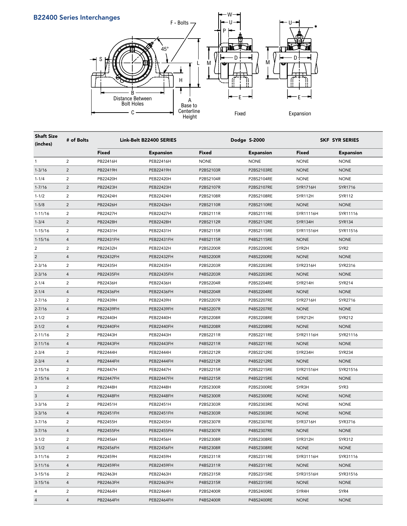



| <b>Shaft Size</b><br>(inches) | # of Bolts     |           | Link-Belt B22400 SERIES |             | Dodge S-2000     |                 | <b>SKF SYR SERIES</b> |  |  |  |
|-------------------------------|----------------|-----------|-------------------------|-------------|------------------|-----------------|-----------------------|--|--|--|
|                               |                | Fixed     | <b>Expansion</b>        | Fixed       | <b>Expansion</b> | Fixed           | <b>Expansion</b>      |  |  |  |
| 1                             | $\overline{2}$ | PB22416H  | PEB22416H               | <b>NONE</b> | <b>NONE</b>      | <b>NONE</b>     | <b>NONE</b>           |  |  |  |
| $1 - 3/16$                    | $\overline{2}$ | PB22419H  | PEB22419H               | P2BS2103R   | P2BS2103RE       | <b>NONE</b>     | <b>NONE</b>           |  |  |  |
| $1 - 1/4$                     | 2              | PB22420H  | PEB22420H               | P2BS2104R   | P2BS2104RE       | <b>NONE</b>     | <b>NONE</b>           |  |  |  |
| $1 - 7/16$                    | $\sqrt{2}$     | PB22423H  | PEB22423H               | P2BS2107R   | P2BS2107RE       | <b>SYR1716H</b> | SYR1716               |  |  |  |
| $1 - 1/2$                     | $\overline{2}$ | PB22424H  | PEB22424H               | P2BS2108R   | P2BS2108RE       | SYR112H         | <b>SYR112</b>         |  |  |  |
| $1 - 5/8$                     | $\overline{2}$ | PB22426H  | PEB22426H               | P2BS2110R   | P2BS2110RE       | <b>NONE</b>     | <b>NONE</b>           |  |  |  |
| $1 - 11/16$                   | $\overline{c}$ | PB22427H  | PEB22427H               | P2BS2111R   | P2BS2111RE       | SYR11116H       | SYR11116              |  |  |  |
| $1 - 3/4$                     | $\overline{2}$ | PB22428H  | PEB22428H               | P2BS2112R   | P2BS2112RE       | SYR134H         | <b>SYR134</b>         |  |  |  |
| $1 - 15/16$                   | 2              | PB22431H  | PEB22431H               | P2BS2115R   | P2BS2115RE       | SYR11516H       | SYR11516              |  |  |  |
| $1 - 15/16$                   | $\overline{4}$ | PB22431FH | PEB22431FH              | P4BS2115R   | P4BS2115RE       | <b>NONE</b>     | <b>NONE</b>           |  |  |  |
| 2                             | $\overline{c}$ | PB22432H  | PEB22432H               | P2BS2200R   | P2BS2200RE       | SYR2H           | SYR <sub>2</sub>      |  |  |  |
| $\overline{c}$                | $\overline{4}$ | PB22432FH | PEB22432FH              | P4BS2200R   | P4BS2200RE       | <b>NONE</b>     | <b>NONE</b>           |  |  |  |
| $2 - 3/16$                    | $\overline{c}$ | PB22435H  | PEB22435H               | P2BS2203R   | P2BS2203RE       | SYR2316H        | SYR2316               |  |  |  |
| $2 - 3/16$                    | $\overline{4}$ | PB22435FH | PEB22435FH              | P4BS2203R   | P4BS2203RE       | <b>NONE</b>     | <b>NONE</b>           |  |  |  |
| $2 - 1/4$                     | 2              | PB22436H  | PEB22436H               | P2BS2204R   | P2BS2204RE       | SYR214H         | SYR214                |  |  |  |
| $2 - 1/4$                     | $\overline{4}$ | PB22436FH | PEB22436FH              | P4BS2204R   | P4BS2204RE       | <b>NONE</b>     | <b>NONE</b>           |  |  |  |
| $2 - 7/16$                    | 2              | PB22439H  | PEB22439H               | P2BS2207R   | P2BS2207RE       | SYR2716H        | SYR2716               |  |  |  |
| $2 - 7/16$                    | $\overline{4}$ | PB22439FH | <b>PEB22439FH</b>       | P4BS2207R   | P4BS2207RE       | <b>NONE</b>     | <b>NONE</b>           |  |  |  |
| $2 - 1/2$                     | 2              | PB22440H  | PEB22440H               | P2BS2208R   | P2BS2208RE       | SYR212H         | SYR212                |  |  |  |
| $2 - 1/2$                     | $\overline{4}$ | PB22440FH | <b>PEB22440FH</b>       | P4BS2208R   | P4BS2208RE       | <b>NONE</b>     | <b>NONE</b>           |  |  |  |
| $2 - 11/16$                   | $\overline{2}$ | PB22443H  | PEB22443H               | P2BS2211R   | P2BS2211RE       | SYR21116H       | SYR21116              |  |  |  |
| $2 - 11/16$                   | $\overline{4}$ | PB22443FH | <b>PEB22443FH</b>       | P4BS2211R   | P4BS2211RE       | <b>NONE</b>     | <b>NONE</b>           |  |  |  |
| $2 - 3/4$                     | 2              | PB22444H  | PEB22444H               | P2BS2212R   | P2BS2212RE       | SYR234H         | <b>SYR234</b>         |  |  |  |
| $2 - 3/4$                     | $\overline{4}$ | PB22444FH | <b>PEB22444FH</b>       | P4BS2212R   | P4BS2212RE       | <b>NONE</b>     | <b>NONE</b>           |  |  |  |
| $2 - 15/16$                   | $\overline{2}$ | PB22447H  | PEB22447H               | P2BS2215R   | P2BS2215RE       | SYR21516H       | SYR21516              |  |  |  |
| $2 - 15/16$                   | $\overline{4}$ | PB22447FH | <b>PEB22447FH</b>       | P4BS2215R   | P4BS2215RE       | <b>NONE</b>     | <b>NONE</b>           |  |  |  |
| 3                             | $\overline{2}$ | PB22448H  | PEB22448H               | P2BS2300R   | P2BS2300RE       | SYR3H           | SYR3                  |  |  |  |
| 3                             | $\overline{4}$ | PB22448FH | <b>PEB22448FH</b>       | P4BS2300R   | P4BS2300RE       | <b>NONE</b>     | <b>NONE</b>           |  |  |  |
| $3 - 3/16$                    | $\overline{2}$ | PB22451H  | PEB22451H               | P2BS2303R   | P2BS2303RE       | <b>NONE</b>     | <b>NONE</b>           |  |  |  |
| $3 - 3/16$                    | $\overline{4}$ | PB22451FH | PEB22451FH              | P4BS2303R   | P4BS2303RE       | <b>NONE</b>     | <b>NONE</b>           |  |  |  |
| $3 - 7/16$                    | 2              | PB22455H  | PEB22455H               | P2BS2307R   | P2BS2307RE       | SYR3716H        | SYR3716               |  |  |  |
| $3 - 7/16$                    | $\overline{4}$ | PB22455FH | PEB22455FH              | P4BS2307R   | P4BS2307RE       | <b>NONE</b>     | <b>NONE</b>           |  |  |  |
| $3 - 1/2$                     | 2              | PB22456H  | PEB22456H               | P2BS2308R   | P2BS2308RE       | SYR312H         | SYR312                |  |  |  |
| $3 - 1/2$                     | $\overline{4}$ | PB22456FH | <b>PEB22456FH</b>       | P4BS2308R   | P4BS2308RE       | <b>NONE</b>     | <b>NONE</b>           |  |  |  |
| $3 - 11/16$                   | 2              | PB22459H  | PEB22459H               | P2BS2311R   | P2BS2311RE       | SYR31116H       | SYR31116              |  |  |  |
| $3-11/16$                     | $\overline{4}$ | PB22459FH | <b>PEB22459FH</b>       | P4BS2311R   | P4BS2311RE       | <b>NONE</b>     | <b>NONE</b>           |  |  |  |
| $3 - 15/16$                   | 2              | PB22463H  | PEB22463H               | P2BS2315R   | P2BS2315RE       | SYR31516H       | SYR31516              |  |  |  |
| $3-15/16$                     | 4              | PB22463FH | PEB22463FH              | P4BS2315R   | P4BS2315RE       | <b>NONE</b>     | <b>NONE</b>           |  |  |  |
| 4                             | $\overline{c}$ | PB22464H  | PEB22464H               | P2BS2400R   | P2BS2400RE       | SYR4H           | SYR4                  |  |  |  |
| $\overline{4}$                | $\overline{4}$ | PB22464FH | PEB22464FH              | P4BS2400R   | P4BS2400RE       | <b>NONE</b>     | <b>NONE</b>           |  |  |  |